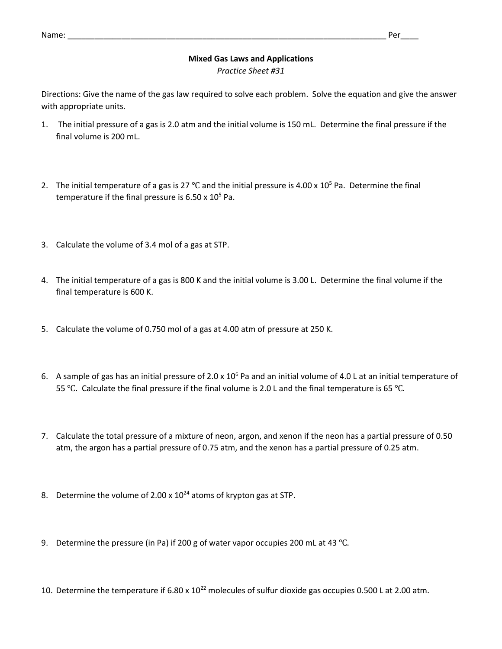## Name: \_\_\_\_\_\_\_\_\_\_\_\_\_\_\_\_\_\_\_\_\_\_\_\_\_\_\_\_\_\_\_\_\_\_\_\_\_\_\_\_\_\_\_\_\_\_\_\_\_\_\_\_\_\_\_\_\_\_\_\_\_\_\_\_\_\_\_\_\_\_\_ Per\_\_\_\_

## **Mixed Gas Laws and Applications**

*Practice Sheet #31*

Directions: Give the name of the gas law required to solve each problem. Solve the equation and give the answer with appropriate units.

- 1. The initial pressure of a gas is 2.0 atm and the initial volume is 150 mL. Determine the final pressure if the final volume is 200 mL.
- 2. The initial temperature of a gas is 27 °C and the initial pressure is 4.00 x 10<sup>5</sup> Pa. Determine the final temperature if the final pressure is  $6.50 \times 10^5$  Pa.
- 3. Calculate the volume of 3.4 mol of a gas at STP.
- 4. The initial temperature of a gas is 800 K and the initial volume is 3.00 L. Determine the final volume if the final temperature is 600 K.
- 5. Calculate the volume of 0.750 mol of a gas at 4.00 atm of pressure at 250 K.
- 6. A sample of gas has an initial pressure of 2.0 x  $10^6$  Pa and an initial volume of 4.0 L at an initial temperature of 55 ℃. Calculate the final pressure if the final volume is 2.0 L and the final temperature is 65 ℃.
- 7. Calculate the total pressure of a mixture of neon, argon, and xenon if the neon has a partial pressure of 0.50 atm, the argon has a partial pressure of 0.75 atm, and the xenon has a partial pressure of 0.25 atm.
- 8. Determine the volume of 2.00 x  $10^{24}$  atoms of krypton gas at STP.
- 9. Determine the pressure (in Pa) if 200 g of water vapor occupies 200 mL at 43 ℃.
- 10. Determine the temperature if 6.80 x 10<sup>22</sup> molecules of sulfur dioxide gas occupies 0.500 L at 2.00 atm.